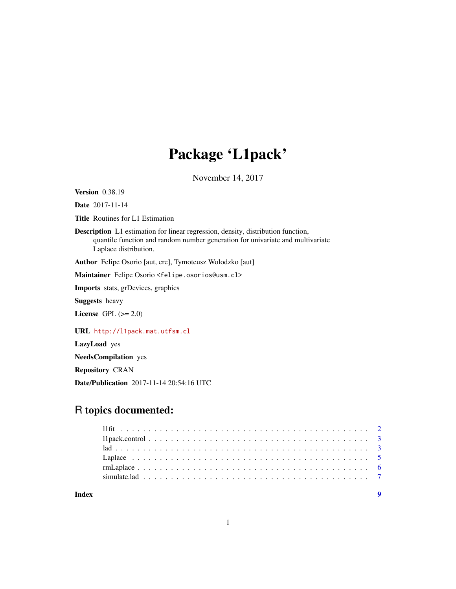## Package 'L1pack'

November 14, 2017

<span id="page-0-0"></span>Version 0.38.19

Date 2017-11-14

Title Routines for L1 Estimation

Description L1 estimation for linear regression, density, distribution function, quantile function and random number generation for univariate and multivariate Laplace distribution.

Author Felipe Osorio [aut, cre], Tymoteusz Wolodzko [aut]

Maintainer Felipe Osorio <felipe.osorios@usm.cl>

Imports stats, grDevices, graphics

Suggests heavy

License GPL  $(>= 2.0)$ 

URL <http://l1pack.mat.utfsm.cl>

LazyLoad yes

NeedsCompilation yes

Repository CRAN

Date/Publication 2017-11-14 20:54:16 UTC

### R topics documented:

| Index |  |  |  |  |  |  |  |  |  |  |  |  |  |  |  |  |  |  |
|-------|--|--|--|--|--|--|--|--|--|--|--|--|--|--|--|--|--|--|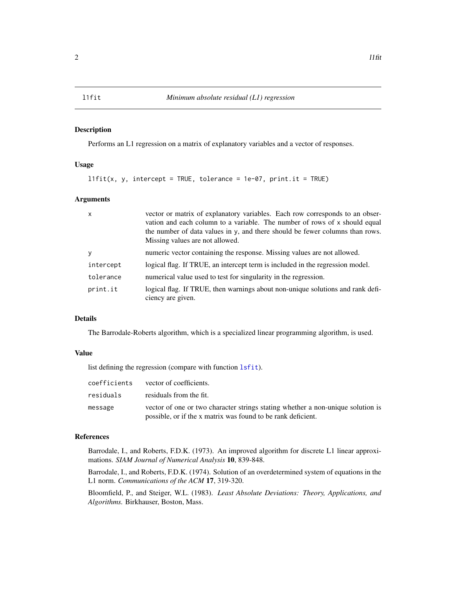<span id="page-1-0"></span>

#### Description

Performs an L1 regression on a matrix of explanatory variables and a vector of responses.

#### Usage

```
l1fit(x, y, intercept = TRUE, tolerance = 1e-07, print.it = TRUE)
```
#### Arguments

| $\mathsf{x}$ | vector or matrix of explanatory variables. Each row corresponds to an obser-<br>vation and each column to a variable. The number of rows of x should equal<br>the number of data values in y, and there should be fewer columns than rows.<br>Missing values are not allowed. |
|--------------|-------------------------------------------------------------------------------------------------------------------------------------------------------------------------------------------------------------------------------------------------------------------------------|
| у            | numeric vector containing the response. Missing values are not allowed.                                                                                                                                                                                                       |
| intercept    | logical flag. If TRUE, an intercept term is included in the regression model.                                                                                                                                                                                                 |
| tolerance    | numerical value used to test for singularity in the regression.                                                                                                                                                                                                               |
| print.it     | logical flag. If TRUE, then warnings about non-unique solutions and rank defi-<br>ciency are given.                                                                                                                                                                           |

#### Details

The Barrodale-Roberts algorithm, which is a specialized linear programming algorithm, is used.

#### Value

list defining the regression (compare with function [lsfit](#page-0-0)).

| coefficients | vector of coefficients.                                                         |
|--------------|---------------------------------------------------------------------------------|
| residuals    | residuals from the fit.                                                         |
| message      | vector of one or two character strings stating whether a non-unique solution is |
|              | possible, or if the x matrix was found to be rank deficient.                    |

#### References

Barrodale, I., and Roberts, F.D.K. (1973). An improved algorithm for discrete L1 linear approximations. *SIAM Journal of Numerical Analysis* 10, 839-848.

Barrodale, I., and Roberts, F.D.K. (1974). Solution of an overdetermined system of equations in the L1 norm. *Communications of the ACM* 17, 319-320.

Bloomfield, P., and Steiger, W.L. (1983). *Least Absolute Deviations: Theory, Applications, and Algorithms.* Birkhauser, Boston, Mass.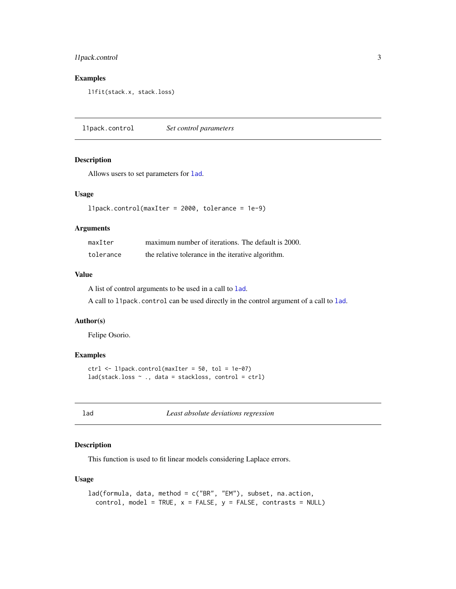#### <span id="page-2-0"></span>l1pack.control 3

#### Examples

l1fit(stack.x, stack.loss)

<span id="page-2-2"></span>l1pack.control *Set control parameters*

#### Description

Allows users to set parameters for [lad](#page-2-1).

#### Usage

```
l1pack.control(maxIter = 2000, tolerance = 1e-9)
```
#### Arguments

| maxIter   | maximum number of iterations. The default is 2000. |
|-----------|----------------------------------------------------|
| tolerance | the relative tolerance in the iterative algorithm. |

#### Value

A list of control arguments to be used in a call to [lad](#page-2-1).

A call to l1pack.control can be used directly in the control argument of a call to [lad](#page-2-1).

#### Author(s)

Felipe Osorio.

#### Examples

```
ctrl \leftarrow 11pack.control(maxIter = 50, tol = 1e-07)
lad(stack.loss ~ ., data = stackloss, control = ctrl)
```
<span id="page-2-1"></span>lad *Least absolute deviations regression*

#### Description

This function is used to fit linear models considering Laplace errors.

#### Usage

```
lad(formula, data, method = c("BR", "EM"), subset, na.action,
  control, model = TRUE, x = FALSE, y = FALSE, contrast = NULL)
```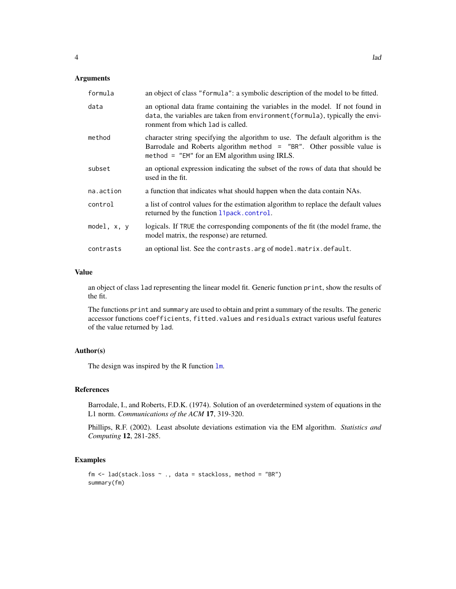#### <span id="page-3-0"></span>Arguments

| formula     | an object of class "formula": a symbolic description of the model to be fitted.                                                                                                                                |
|-------------|----------------------------------------------------------------------------------------------------------------------------------------------------------------------------------------------------------------|
| data        | an optional data frame containing the variables in the model. If not found in<br>data, the variables are taken from environment (formula), typically the envi-<br>ronment from which lad is called.            |
| method      | character string specifying the algorithm to use. The default algorithm is the<br>Barrodale and Roberts algorithm method = $"BR"$ . Other possible value is<br>method = $"EM"$ for an EM algorithm using IRLS. |
| subset      | an optional expression indicating the subset of the rows of data that should be<br>used in the fit.                                                                                                            |
| na.action   | a function that indicates what should happen when the data contain NAs.                                                                                                                                        |
| control     | a list of control values for the estimation algorithm to replace the default values<br>returned by the function 11 pack. control.                                                                              |
| model, x, y | logicals. If TRUE the corresponding components of the fit (the model frame, the<br>model matrix, the response) are returned.                                                                                   |
| contrasts   | an optional list. See the contrasts. arg of model. matrix. default.                                                                                                                                            |

#### Value

an object of class lad representing the linear model fit. Generic function print, show the results of the fit.

The functions print and summary are used to obtain and print a summary of the results. The generic accessor functions coefficients, fitted.values and residuals extract various useful features of the value returned by lad.

#### Author(s)

The design was inspired by the R function  $\text{lm}$  $\text{lm}$  $\text{lm}$ .

#### References

Barrodale, I., and Roberts, F.D.K. (1974). Solution of an overdetermined system of equations in the L1 norm. *Communications of the ACM* 17, 319-320.

Phillips, R.F. (2002). Least absolute deviations estimation via the EM algorithm. *Statistics and Computing* 12, 281-285.

#### Examples

```
fm <- lad(stack.loss ~ ., data = stackloss, method = "BR")
summary(fm)
```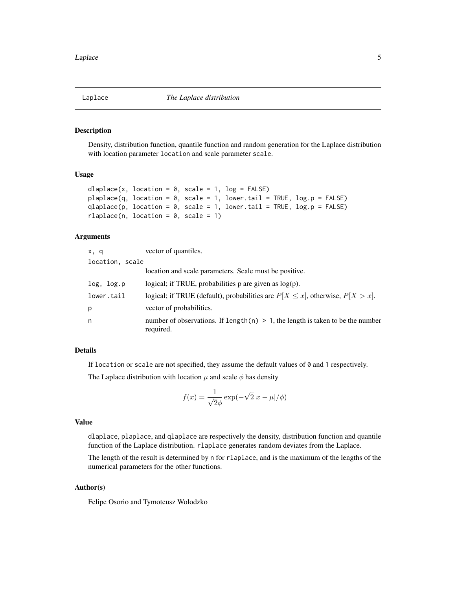<span id="page-4-0"></span>

#### Description

Density, distribution function, quantile function and random generation for the Laplace distribution with location parameter location and scale parameter scale.

#### Usage

```
dlaplace(x, location = 0, scale = 1, log = FALSE)
plaplace(q, location = \theta, scale = 1, lower.tail = TRUE, log.p = FALSE)
qlaplace(p, location = 0, scale = 1, lower.tail = TRUE, log.p = FALSE)
rlaplace(n, location = 0, scale = 1)
```
#### Arguments

| x, q            | vector of quantiles.                                                                           |
|-----------------|------------------------------------------------------------------------------------------------|
| location, scale |                                                                                                |
|                 | location and scale parameters. Scale must be positive.                                         |
| log, log.p      | logical; if TRUE, probabilities $p$ are given as $log(p)$ .                                    |
| lower.tail      | logical; if TRUE (default), probabilities are $P[X \le x]$ , otherwise, $P[X > x]$ .           |
| p               | vector of probabilities.                                                                       |
| n               | number of observations. If length(n) $> 1$ , the length is taken to be the number<br>required. |

#### Details

If location or scale are not specified, they assume the default values of  $\theta$  and 1 respectively.

The Laplace distribution with location  $\mu$  and scale  $\phi$  has density

$$
f(x) = \frac{1}{\sqrt{2}\phi} \exp(-\sqrt{2}|x - \mu|/\phi)
$$

#### Value

dlaplace, plaplace, and qlaplace are respectively the density, distribution function and quantile function of the Laplace distribution. rlaplace generates random deviates from the Laplace.

The length of the result is determined by n for rlaplace, and is the maximum of the lengths of the numerical parameters for the other functions.

#### Author(s)

Felipe Osorio and Tymoteusz Wolodzko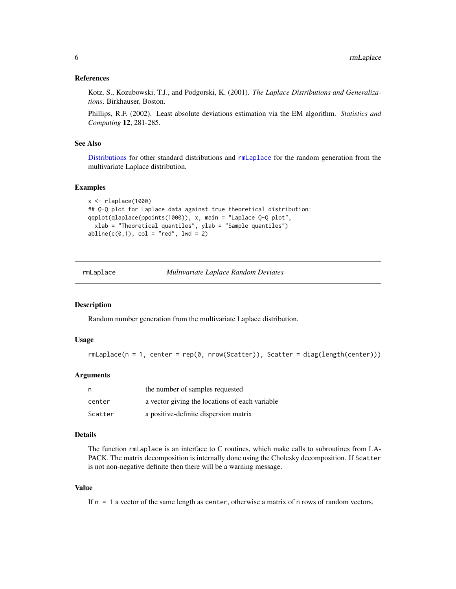#### <span id="page-5-0"></span>References

Kotz, S., Kozubowski, T.J., and Podgorski, K. (2001). *The Laplace Distributions and Generalizations*. Birkhauser, Boston.

Phillips, R.F. (2002). Least absolute deviations estimation via the EM algorithm. *Statistics and Computing* 12, 281-285.

#### See Also

[Distributions](#page-0-0) for other standard distributions and [rmLaplace](#page-5-1) for the random generation from the multivariate Laplace distribution.

#### Examples

```
x < - rlaplace(1000)
## Q-Q plot for Laplace data against true theoretical distribution:
qqplot(qlaplace(ppoints(1000)), x, main = "Laplace Q-Q plot",
 xlab = "Theoretical quantiles", ylab = "Sample quantiles")
abline(c(0,1), col = "red", lwd = 2)
```
<span id="page-5-1"></span>rmLaplace *Multivariate Laplace Random Deviates*

#### Description

Random number generation from the multivariate Laplace distribution.

#### Usage

```
rmLaplace(n = 1, center = rep(0, nrow(Scatter)), Scatter = diag(leneth(center)))
```
#### Arguments

| n,      | the number of samples requested                |
|---------|------------------------------------------------|
| center  | a vector giving the locations of each variable |
| Scatter | a positive-definite dispersion matrix          |

#### Details

The function rmLaplace is an interface to C routines, which make calls to subroutines from LA-PACK. The matrix decomposition is internally done using the Cholesky decomposition. If Scatter is not non-negative definite then there will be a warning message.

#### Value

If n = 1 a vector of the same length as center, otherwise a matrix of n rows of random vectors.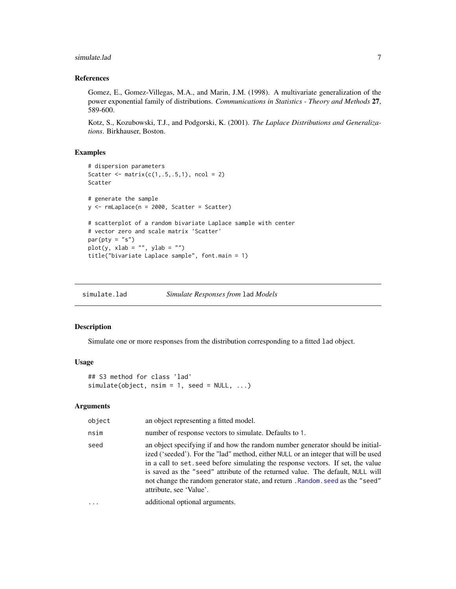#### <span id="page-6-0"></span>simulate.lad **7**

#### References

Gomez, E., Gomez-Villegas, M.A., and Marin, J.M. (1998). A multivariate generalization of the power exponential family of distributions. *Communications in Statistics - Theory and Methods* 27, 589-600.

Kotz, S., Kozubowski, T.J., and Podgorski, K. (2001). *The Laplace Distributions and Generalizations*. Birkhauser, Boston.

#### Examples

```
# dispersion parameters
Scatter \leq matrix(c(1,.5,.5,1), ncol = 2)
Scatter
# generate the sample
y <- rmLaplace(n = 2000, Scatter = Scatter)
# scatterplot of a random bivariate Laplace sample with center
# vector zero and scale matrix 'Scatter'
par(pty = "s")plot(y, xlab = "", ylab = "")title("bivariate Laplace sample", font.main = 1)
```
simulate.lad *Simulate Responses from* lad *Models*

#### Description

Simulate one or more responses from the distribution corresponding to a fitted lad object.

#### Usage

## S3 method for class 'lad' simulate(object,  $nsim = 1$ , seed = NULL, ...)

#### Arguments

| object   | an object representing a fitted model.                                                                                                                                                                                                                                                                                                                                                                                                                  |
|----------|---------------------------------------------------------------------------------------------------------------------------------------------------------------------------------------------------------------------------------------------------------------------------------------------------------------------------------------------------------------------------------------------------------------------------------------------------------|
| nsim     | number of response vectors to simulate. Defaults to 1.                                                                                                                                                                                                                                                                                                                                                                                                  |
| seed     | an object specifying if and how the random number generator should be initial-<br>ized ('seeded'). For the "lad" method, either NULL or an integer that will be used<br>in a call to set. seed before simulating the response vectors. If set, the value<br>is saved as the "seed" attribute of the returned value. The default, NULL will<br>not change the random generator state, and return . Random. seed as the "seed"<br>attribute, see 'Value'. |
| $\cdots$ | additional optional arguments.                                                                                                                                                                                                                                                                                                                                                                                                                          |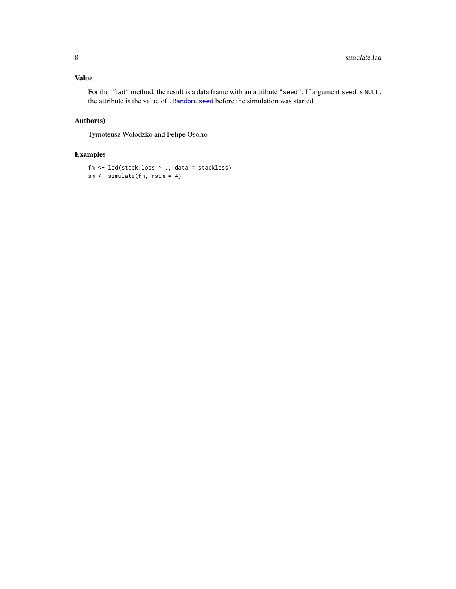#### <span id="page-7-0"></span>Value

For the "lad" method, the result is a data frame with an attribute "seed". If argument seed is NULL, the attribute is the value of [.Random.seed](#page-0-0) before the simulation was started.

#### Author(s)

Tymoteusz Wolodzko and Felipe Osorio

#### Examples

```
fm <- lad(stack.loss ~ ., data = stackloss)
sm <- simulate(fm, nsim = 4)
```